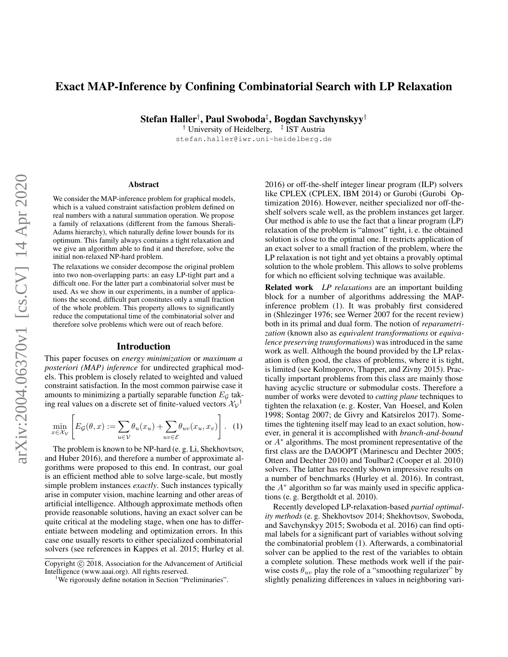# Exact MAP-Inference by Confining Combinatorial Search with LP Relaxation

Stefan Haller† , Paul Swoboda‡ , Bogdan Savchynskyy†

<sup>†</sup> University of Heidelberg, <sup>‡</sup> IST Austria stefan.haller@iwr.uni-heidelberg.de

#### Abstract

We consider the MAP-inference problem for graphical models, which is a valued constraint satisfaction problem defined on real numbers with a natural summation operation. We propose a family of relaxations (different from the famous Sherali-Adams hierarchy), which naturally define lower bounds for its optimum. This family always contains a tight relaxation and we give an algorithm able to find it and therefore, solve the initial non-relaxed NP-hard problem.

The relaxations we consider decompose the original problem into two non-overlapping parts: an easy LP-tight part and a difficult one. For the latter part a combinatorial solver must be used. As we show in our experiments, in a number of applications the second, difficult part constitutes only a small fraction of the whole problem. This property allows to significantly reduce the computational time of the combinatorial solver and therefore solve problems which were out of reach before.

#### Introduction

This paper focuses on *energy minimization* or *maximum a posteriori (MAP) inference* for undirected graphical models. This problem is closely related to weighted and valued constraint satisfaction. In the most common pairwise case it amounts to minimizing a partially separable function  $E_{\mathcal{G}}$  taking real values on a discrete set of finite-valued vectors  $\mathcal{X}_{V}$ <sup>1</sup>

$$
\min_{x \in \mathcal{X}_{\mathcal{V}}} \left[ E_{\mathcal{G}}(\theta, x) := \sum_{u \in \mathcal{V}} \theta_u(x_u) + \sum_{uv \in \mathcal{E}} \theta_{uv}(x_u, x_v) \right]. \tag{1}
$$

The problem is known to be NP-hard (e. g. Li, Shekhovtsov, and Huber 2016), and therefore a number of approximate algorithms were proposed to this end. In contrast, our goal is an efficient method able to solve large-scale, but mostly simple problem instances *exactly*. Such instances typically arise in computer vision, machine learning and other areas of artificial intelligence. Although approximate methods often provide reasonable solutions, having an exact solver can be quite critical at the modeling stage, when one has to differentiate between modeling and optimization errors. In this case one usually resorts to either specialized combinatorial solvers (see references in Kappes et al. 2015; Hurley et al. 2016) or off-the-shelf integer linear program (ILP) solvers like CPLEX (CPLEX, IBM 2014) or Gurobi (Gurobi Optimization 2016). However, neither specialized nor off-theshelf solvers scale well, as the problem instances get larger. Our method is able to use the fact that a linear program (LP) relaxation of the problem is "almost" tight, i. e. the obtained solution is close to the optimal one. It restricts application of an exact solver to a small fraction of the problem, where the LP relaxation is not tight and yet obtains a provably optimal solution to the whole problem. This allows to solve problems for which no efficient solving technique was available.

Related work *LP relaxations* are an important building block for a number of algorithms addressing the MAPinference problem (1). It was probably first considered in (Shlezinger 1976; see Werner 2007 for the recent review) both in its primal and dual form. The notion of *reparametrization* (known also as *equivalent transformations* or *equivalence preserving transformations*) was introduced in the same work as well. Although the bound provided by the LP relaxation is often good, the class of problems, where it is tight, is limited (see Kolmogorov, Thapper, and Zivny 2015). Practically important problems from this class are mainly those having acyclic structure or submodular costs. Therefore a number of works were devoted to *cutting plane* techniques to tighten the relaxation (e. g. Koster, Van Hoesel, and Kolen 1998; Sontag 2007; de Givry and Katsirelos 2017). Sometimes the tightening itself may lead to an exact solution, however, in general it is accomplished with *branch-and-bound* or A<sup>∗</sup> algorithms. The most prominent representative of the first class are the DAOOPT (Marinescu and Dechter 2005; Otten and Dechter 2010) and Toulbar2 (Cooper et al. 2010) solvers. The latter has recently shown impressive results on a number of benchmarks (Hurley et al. 2016). In contrast, the  $A^*$  algorithm so far was mainly used in specific applications (e. g. Bergtholdt et al. 2010).

Recently developed LP-relaxation-based *partial optimality methods* (e. g. Shekhovtsov 2014; Shekhovtsov, Swoboda, and Savchynskyy 2015; Swoboda et al. 2016) can find optimal labels for a significant part of variables without solving the combinatorial problem (1). Afterwards, a combinatorial solver can be applied to the rest of the variables to obtain a complete solution. These methods work well if the pairwise costs  $\theta_{uv}$  play the role of a "smoothing regularizer" by slightly penalizing differences in values in neighboring vari-

Copyright (c) 2018, Association for the Advancement of Artificial Intelligence (www.aaai.org). All rights reserved.

<sup>&</sup>lt;sup>1</sup>We rigorously define notation in Section "Preliminaries".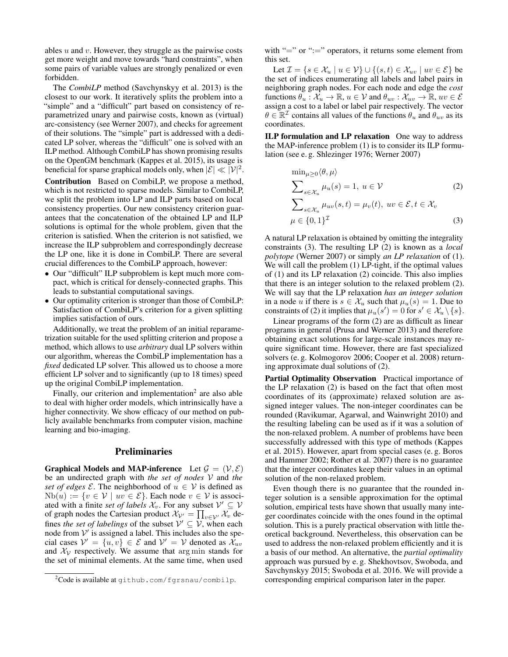ables  $u$  and  $v$ . However, they struggle as the pairwise costs get more weight and move towards "hard constraints", when some pairs of variable values are strongly penalized or even forbidden.

The *CombiLP* method (Savchynskyy et al. 2013) is the closest to our work. It iteratively splits the problem into a "simple" and a "difficult" part based on consistency of reparametrized unary and pairwise costs, known as (virtual) arc-consistency (see Werner 2007), and checks for agreement of their solutions. The "simple" part is addressed with a dedicated LP solver, whereas the "difficult" one is solved with an ILP method. Although CombiLP has shown promising results on the OpenGM benchmark (Kappes et al. 2015), its usage is beneficial for sparse graphical models only, when  $|\mathcal{E}| \ll |\mathcal{V}|^2$ .

Contribution Based on CombiLP, we propose a method, which is not restricted to sparse models. Similar to CombiLP, we split the problem into LP and ILP parts based on local consistency properties. Our new consistency criterion guarantees that the concatenation of the obtained LP and ILP solutions is optimal for the whole problem, given that the criterion is satisfied. When the criterion is not satisfied, we increase the ILP subproblem and correspondingly decrease the LP one, like it is done in CombiLP. There are several crucial differences to the CombiLP approach, however:

- Our "difficult" ILP subproblem is kept much more compact, which is critical for densely-connected graphs. This leads to substantial computational savings.
- Our optimality criterion is stronger than those of CombiLP: Satisfaction of CombiLP's criterion for a given splitting implies satisfaction of ours.

Additionally, we treat the problem of an initial reparametrization suitable for the used splitting criterion and propose a method, which allows to use *arbitrary* dual LP solvers within our algorithm, whereas the CombiLP implementation has a *fixed* dedicated LP solver. This allowed us to choose a more efficient LP solver and to significantly (up to 18 times) speed up the original CombiLP implementation.

Finally, our criterion and implementation<sup>2</sup> are also able to deal with higher order models, which intrinsically have a higher connectivity. We show efficacy of our method on publicly available benchmarks from computer vision, machine learning and bio-imaging.

## Preliminaries

Graphical Models and MAP-inference Let  $\mathcal{G} = (\mathcal{V}, \mathcal{E})$ be an undirected graph with *the set of nodes* V and *the set of edges*  $\mathcal{E}$ . The neighborhood of  $u \in \mathcal{V}$  is defined as  $Nb(u) := \{v \in V \mid uv \in \mathcal{E}\}\$ . Each node  $v \in V$  is associated with a finite *set of labels*  $\mathcal{X}_v$ . For any subset  $\mathcal{V}' \subseteq \mathcal{V}$ of graph nodes the Cartesian product  $\mathcal{X}_{\mathcal{V}'} = \prod_{v \in \mathcal{V}'} \mathcal{X}_v$  defines *the set of labelings* of the subset  $V' \subseteq V$ , when each node from  $V'$  is assigned a label. This includes also the special cases  $V' = \{u, v\} \in \mathcal{E}$  and  $V' = V$  denoted as  $\mathcal{X}_{uv}$ and  $\mathcal{X}_{\mathcal{V}}$  respectively. We assume that arg min stands for the set of minimal elements. At the same time, when used with " $=$ " or " $:=$ " operators, it returns some element from this set.

Let  $\mathcal{I} = \{s \in \mathcal{X}_u \mid u \in \mathcal{V}\} \cup \{(s, t) \in \mathcal{X}_{uv} \mid uv \in \mathcal{E}\}$  be the set of indices enumerating all labels and label pairs in neighboring graph nodes. For each node and edge the *cost* functions  $\theta_u : \mathcal{X}_u \to \mathbb{R}$ ,  $u \in \mathcal{V}$  and  $\theta_{uv} : \mathcal{X}_{uv} \to \mathbb{R}$ ,  $uv \in \mathcal{E}$ assign a cost to a label or label pair respectively. The vector  $\theta \in \mathbb{R}^{\mathcal{I}}$  contains all values of the functions  $\theta_u$  and  $\theta_{uv}$  as its coordinates.

ILP formulation and LP relaxation One way to address the MAP-inference problem (1) is to consider its ILP formulation (see e. g. Shlezinger 1976; Werner 2007)

$$
\min_{\mu \geq 0} \langle \theta, \mu \rangle
$$
\n
$$
\sum_{s \in \mathcal{X}_u} \mu_u(s) = 1, \ u \in \mathcal{V}
$$
\n
$$
\sum_{s \in \mathcal{X}_u} \mu_{uv}(s, t) = \mu_v(t), \ uv \in \mathcal{E}, t \in \mathcal{X}_v
$$
\n
$$
\mu \in \{0, 1\}^{\mathcal{I}}
$$
\n(3)

A natural LP relaxation is obtained by omitting the integrality constraints (3). The resulting LP (2) is known as a *local polytope* (Werner 2007) or simply *an LP relaxation* of (1). We will call the problem (1) LP-tight, if the optimal values of (1) and its LP relaxation (2) coincide. This also implies that there is an integer solution to the relaxed problem (2). We will say that the LP relaxation *has an integer solution* in a node u if there is  $s \in \mathcal{X}_u$  such that  $\mu_u(s) = 1$ . Due to constraints of (2) it implies that  $\mu_u(s') = 0$  for  $s' \in \mathcal{X}_u \setminus \{s\}.$ 

Linear programs of the form (2) are as difficult as linear programs in general (Prusa and Werner 2013) and therefore obtaining exact solutions for large-scale instances may require significant time. However, there are fast specialized solvers (e. g. Kolmogorov 2006; Cooper et al. 2008) returning approximate dual solutions of (2).

Partial Optimality Observation Practical importance of the LP relaxation (2) is based on the fact that often most coordinates of its (approximate) relaxed solution are assigned integer values. The non-integer coordinates can be rounded (Ravikumar, Agarwal, and Wainwright 2010) and the resulting labeling can be used as if it was a solution of the non-relaxed problem. A number of problems have been successfully addressed with this type of methods (Kappes et al. 2015). However, apart from special cases (e. g. Boros and Hammer 2002; Rother et al. 2007) there is no guarantee that the integer coordinates keep their values in an optimal solution of the non-relaxed problem.

Even though there is no guarantee that the rounded integer solution is a sensible approximation for the optimal solution, empirical tests have shown that usually many integer coordinates coincide with the ones found in the optimal solution. This is a purely practical observation with little theoretical background. Nevertheless, this observation can be used to address the non-relaxed problem efficiently and it is a basis of our method. An alternative, the *partial optimality* approach was pursued by e. g. Shekhovtsov, Swoboda, and Savchynskyy 2015; Swoboda et al. 2016. We will provide a corresponding empirical comparison later in the paper.

 $2$ Code is available at github.com/fgrsnau/combilp.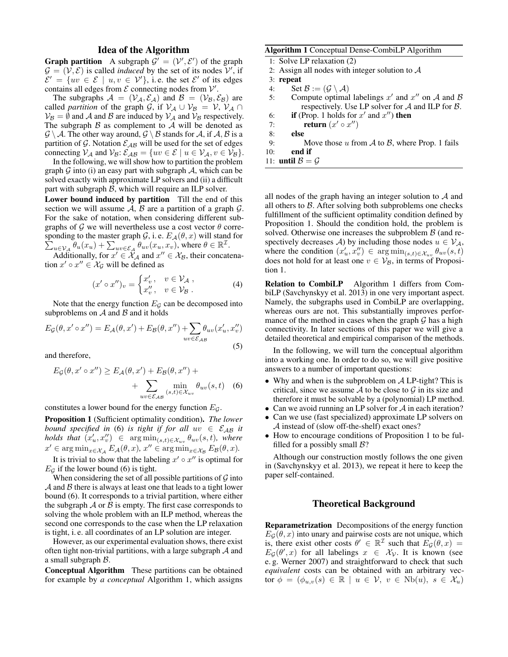## Idea of the Algorithm

**Graph partition** A subgraph  $\mathcal{G}' = (\mathcal{V}', \mathcal{E}')$  of the graph  $\mathcal{G} = (\mathcal{V}, \mathcal{E})$  is called *induced* by the set of its nodes  $\mathcal{V}'$ , if  $\mathcal{E}' = \{uv \in \mathcal{E} \mid u, v \in \mathcal{V}'\},\$ i.e. the set  $\mathcal{E}'$  of its edges contains all edges from  $\mathcal E$  connecting nodes from  $\mathcal V'$ .

The subgraphs  $A = (\mathcal{V}_A, \mathcal{E}_A)$  and  $\mathcal{B} = (\mathcal{V}_B, \mathcal{E}_B)$  are called *partition* of the graph G, if  $V_A \cup V_B = V$ ,  $V_A \cap$  $V_B = \emptyset$  and A and B are induced by  $V_A$  and  $V_B$  respectively. The subgraph  $\beta$  as complement to  $\mathcal A$  will be denoted as  $\mathcal{G} \setminus \mathcal{A}$ . The other way around,  $\mathcal{G} \setminus \mathcal{B}$  stands for  $\mathcal{A}$ , if  $\mathcal{A}, \mathcal{B}$  is a partition of G. Notation  $\mathcal{E}_{AB}$  will be used for the set of edges connecting  $V_A$  and  $V_B: \mathcal{E}_{AB} = \{uv \in \mathcal{E} \mid u \in V_A, v \in V_B\}.$ 

In the following, we will show how to partition the problem graph  $G$  into (i) an easy part with subgraph  $A$ , which can be solved exactly with approximate LP solvers and (ii) a difficult part with subgraph  $\beta$ , which will require an ILP solver.

Lower bound induced by partition Till the end of this section we will assume  $A$ ,  $B$  are a partition of a graph  $G$ . For the sake of notation, when considering different subgraphs of G we will nevertheless use a cost vector  $\theta$  corresponding to the master graph  $\mathcal{G}$ , i.e.  $E_{\mathcal{A}}(\theta, x)$  will stand for  $\sum_{u \in \mathcal{V}_{\mathcal{A}}} \theta_u(x_u) + \sum_{uv \in \mathcal{E}_{\mathcal{A}}} \theta_{uv}(x_u, x_v)$ , where  $\theta \in \mathbb{R}^{\mathcal{I}}$ .

Additionally, for  $x' \in \mathcal{X}_{\mathcal{A}}$  and  $x'' \in \mathcal{X}_{\mathcal{B}}$ , their concatenation  $x' \circ x'' \in \mathcal{X}_{\mathcal{G}}$  will be defined as

$$
(x' \circ x'')_v = \begin{cases} x'_v, & v \in \mathcal{V}_\mathcal{A} ,\\ x''_v, & v \in \mathcal{V}_\mathcal{B} . \end{cases}
$$
 (4)

Note that the energy function  $E<sub>G</sub>$  can be decomposed into subproblems on  $A$  and  $B$  and it holds

$$
E_{\mathcal{G}}(\theta, x' \circ x'') = E_{\mathcal{A}}(\theta, x') + E_{\mathcal{B}}(\theta, x'') + \sum_{uv \in \mathcal{E}_{\mathcal{A}\mathcal{B}}} \theta_{uv}(x'_u, x''_v)
$$
\n(5)

and therefore,

$$
E_{\mathcal{G}}(\theta, x' \circ x'') \ge E_{\mathcal{A}}(\theta, x') + E_{\mathcal{B}}(\theta, x'') + \n+ \sum_{uv \in \mathcal{E}_{\mathcal{A}\mathcal{B}}} \min_{(s,t) \in \mathcal{X}_{uv}} \theta_{uv}(s, t) \quad (6)
$$

constitutes a lower bound for the energy function  $E_{\mathcal{G}}$ .

Proposition 1 (Sufficient optimality condition). *The lower bound specified in* (6) *is tight if for all*  $uv \in \mathcal{E}_{AB}$  *it*  $\textit{holds that } (x'_u, x''_v) \in \argmin_{(s,t) \in \mathcal{X}_{uv}} \theta_{uv}(s,t), \textit{ where }$  $x' \in \arg\min_{x \in \mathcal{X}_{\mathcal{A}}} E_{\mathcal{A}}(\theta, x), x'' \in \arg\min_{x \in \mathcal{X}_{\mathcal{B}}} E_{\mathcal{B}}(\theta, x).$ 

It is trivial to show that the labeling  $x' \circ x''$  is optimal for  $E_G$  if the lower bound (6) is tight.

When considering the set of all possible partitions of  $G$  into  $A$  and  $B$  there is always at least one that leads to a tight lower bound (6). It corresponds to a trivial partition, where either the subgraph  $\mathcal A$  or  $\mathcal B$  is empty. The first case corresponds to solving the whole problem with an ILP method, whereas the second one corresponds to the case when the LP relaxation is tight, i. e. all coordinates of an LP solution are integer.

However, as our experimental evaluation shows, there exist often tight non-trivial partitions, with a large subgraph  $A$  and a small subgraph B.

Conceptual Algorithm These partitions can be obtained for example by *a conceptual* Algorithm 1, which assigns

### Algorithm 1 Conceptual Dense-CombiLP Algorithm

|     | 1: Solve LP relaxation (2)                                |
|-----|-----------------------------------------------------------|
|     | 2: Assign all nodes with integer solution to $A$          |
|     | $3:$ repeat                                               |
| 4:  | Set $\mathcal{B} := (\mathcal{G} \setminus \mathcal{A})$  |
| 5:  | Compute optimal labelings $x'$ and $x''$ on A and B       |
|     | respectively. Use LP solver for $A$ and ILP for $B$ .     |
| 6:  | <b>if</b> (Prop. 1 holds for $x'$ and $x''$ ) <b>then</b> |
| 7:  | return $(x' \circ x'')$                                   |
| 8:  | else                                                      |
| 9:  | Move those u from A to B, where Prop. 1 fails             |
| 10: | end if                                                    |
|     | 11: <b>until</b> $\mathcal{B} = \mathcal{G}$              |
|     |                                                           |

all nodes of the graph having an integer solution to  $A$  and all others to  $\beta$ . After solving both subproblems one checks fulfillment of the sufficient optimality condition defined by Proposition 1. Should the condition hold, the problem is solved. Otherwise one increases the subproblem  $\beta$  (and respectively decreases A) by including those nodes  $u \in V_A$ , where the condition  $(x'_u, x''_v) \in \arg\min_{(s,t)\in \mathcal{X}_{uv}} \theta_{uv}(s,t)$ does not hold for at least one  $v \in V_B$ , in terms of Proposition 1.

Relation to CombiLP Algorithm 1 differs from CombiLP (Savchynskyy et al. 2013) in one very important aspect. Namely, the subgraphs used in CombiLP are overlapping, whereas ours are not. This substantially improves performance of the method in cases when the graph  $\mathcal G$  has a high connectivity. In later sections of this paper we will give a detailed theoretical and empirical comparison of the methods.

In the following, we will turn the conceptual algorithm into a working one. In order to do so, we will give positive answers to a number of important questions:

- Why and when is the subproblem on  $A$  LP-tight? This is critical, since we assume  $A$  to be close to  $G$  in its size and therefore it must be solvable by a (polynomial) LP method.
- Can we avoid running an LP solver for  $A$  in each iteration?
- Can we use (fast specialized) approximate LP solvers on A instead of (slow off-the-shelf) exact ones?
- How to encourage conditions of Proposition 1 to be fulfilled for a possibly small  $\mathcal{B}$ ?

Although our construction mostly follows the one given in (Savchynskyy et al. 2013), we repeat it here to keep the paper self-contained.

## Theoretical Background

Reparametrization Decompositions of the energy function  $E_G(\theta, x)$  into unary and pairwise costs are not unique, which is, there exist other costs  $\theta' \in \mathbb{R}^{\mathcal{I}}$  such that  $E_{\mathcal{G}}(\theta, x) =$  $E_{\mathcal{G}}(\theta', x)$  for all labelings  $x \in \mathcal{X}_{\mathcal{V}}$ . It is known (see e. g. Werner 2007) and straightforward to check that such *equivalent* costs can be obtained with an arbitrary vector  $\phi = (\phi_{u,v}(s) \in \mathbb{R} \mid u \in \mathcal{V}, v \in \text{Nb}(u), s \in \mathcal{X}_u)$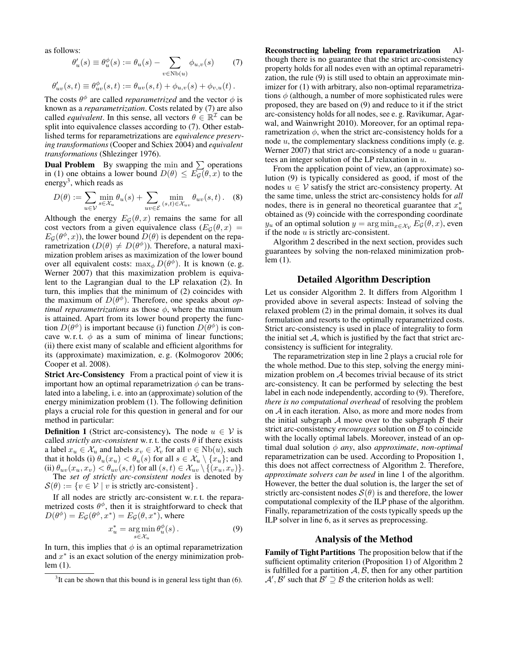as follows:

$$
\theta_u'(s) \equiv \theta_u^{\phi}(s) := \theta_u(s) - \sum_{v \in \text{Nb}(u)} \phi_{u,v}(s)
$$
(7)  

$$
\theta_{uv}'(s,t) \equiv \theta_{uv}^{\phi}(s,t) := \theta_{uv}(s,t) + \phi_{u,v}(s) + \phi_{v,u}(t).
$$

The costs  $\theta^{\phi}$  are called *reparametrized* and the vector  $\phi$  is known as a *reparametrization*. Costs related by (7) are also called *equivalent*. In this sense, all vectors  $\theta \in \mathbb{R}^{\mathcal{I}}$  can be split into equivalence classes according to (7). Other established terms for reparametrizations are *equivalence preserving transformations* (Cooper and Schiex 2004) and *equivalent transformations* (Shlezinger 1976).

**Dual Problem** By swapping the min and  $\sum$  operations in (1) one obtains a lower bound  $D(\theta) \leq E_{\mathcal{G}}(\theta, x)$  to the energy<sup>3</sup>, which reads as

$$
D(\theta) := \sum_{u \in \mathcal{V}} \min_{s \in \mathcal{X}_u} \theta_u(s) + \sum_{uv \in \mathcal{E}} \min_{(s,t) \in \mathcal{X}_{uv}} \theta_{uv}(s,t).
$$
 (8)

Although the energy  $E_{\mathcal{G}}(\theta, x)$  remains the same for all cost vectors from a given equivalence class  $(E_G(\theta, x))$  =  $E_G(\theta^{\phi}, x)$ , the lower bound  $D(\theta)$  is dependent on the reparametrization  $(D(\theta) \neq D(\theta^{\phi}))$ . Therefore, a natural maximization problem arises as maximization of the lower bound over all equivalent costs:  $\max_{\phi} D(\theta^{\phi})$ . It is known (e.g. Werner 2007) that this maximization problem is equivalent to the Lagrangian dual to the LP relaxation (2). In turn, this implies that the minimum of (2) coincides with the maximum of  $D(\theta^{\phi})$ . Therefore, one speaks about *optimal reparametrizations* as those  $\phi$ , where the maximum is attained. Apart from its lower bound property the function  $D(\theta^{\phi})$  is important because (i) function  $D(\theta^{\phi})$  is concave w.r.t.  $\phi$  as a sum of minima of linear functions; (ii) there exist many of scalable and efficient algorithms for its (approximate) maximization, e. g. (Kolmogorov 2006; Cooper et al. 2008).

Strict Arc-Consistency From a practical point of view it is important how an optimal reparametrization  $\phi$  can be translated into a labeling, i. e. into an (approximate) solution of the energy minimization problem (1). The following definition plays a crucial role for this question in general and for our method in particular:

**Definition 1** (Strict arc-consistency). The node  $u \in V$  is called *strictly arc-consistent* w. r. t. the costs  $\theta$  if there exists a label  $x_u \in \mathcal{X}_u$  and labels  $x_v \in \mathcal{X}_v$  for all  $v \in Nb(u)$ , such that it holds (i)  $\theta_u(x_u) < \theta_u(s)$  for all  $s \in \mathcal{X}_u \setminus \{x_u\};$  and (ii)  $\theta_{uv}(x_u, x_v) < \theta_{uv}(s, t)$  for all  $(s, t) \in \mathcal{X}_{uv} \setminus \{(x_u, x_v)\}.$ 

The *set of strictly arc-consistent nodes* is denoted by  $\mathcal{S}(\theta) := \{v \in \mathcal{V} \mid v \text{ is strictly arc-consistent}\}.$ 

If all nodes are strictly arc-consistent w. r. t. the reparametrized costs  $\theta^{\phi}$ , then it is straightforward to check that  $D(\theta^{\phi}) = E_{\mathcal{G}}(\theta^{\phi}, x^*) = E_{\mathcal{G}}(\theta, x^*)$ , where

$$
x_u^* = \underset{s \in \mathcal{X}_u}{\arg \min} \, \theta_u^\phi(s) \,. \tag{9}
$$

In turn, this implies that  $\phi$  is an optimal reparametrization and  $x^*$  is an exact solution of the energy minimization problem (1).

Reconstructing labeling from reparametrization Although there is no guarantee that the strict arc-consistency property holds for all nodes even with an optimal reparametrization, the rule (9) is still used to obtain an approximate minimizer for  $(1)$  with arbitrary, also non-optimal reparametrizations  $\phi$  (although, a number of more sophisticated rules were proposed, they are based on (9) and reduce to it if the strict arc-consistency holds for all nodes, see e. g. Ravikumar, Agarwal, and Wainwright 2010). Moreover, for an optimal reparametrization  $\phi$ , when the strict arc-consistency holds for a node  $u$ , the complementary slackness conditions imply (e.g. Werner 2007) that strict arc-consistency of a node  $u$  guarantees an integer solution of the LP relaxation in u.

From the application point of view, an (approximate) solution (9) is typically considered as good, if most of the nodes  $u \in V$  satisfy the strict arc-consistency property. At the same time, unless the strict arc-consistency holds for *all* nodes, there is in general no theoretical guarantee that  $x^*$ obtained as (9) coincide with the corresponding coordinate  $y_u$  of an optimal solution  $y = \arg \min_{x \in \mathcal{X}_v} E_{\mathcal{G}}(\theta, x)$ , even if the node  $u$  is strictly arc-consistent.

Algorithm 2 described in the next section, provides such guarantees by solving the non-relaxed minimization problem (1).

#### Detailed Algorithm Description

Let us consider Algorithm 2. It differs from Algorithm 1 provided above in several aspects: Instead of solving the relaxed problem (2) in the primal domain, it solves its dual formulation and resorts to the optimally reparametrized costs. Strict arc-consistency is used in place of integrality to form the initial set  $A$ , which is justified by the fact that strict arcconsistency is sufficient for integrality.

The reparametrization step in line 2 plays a crucial role for the whole method. Due to this step, solving the energy minimization problem on A becomes trivial because of its strict arc-consistency. It can be performed by selecting the best label in each node independently, according to (9). Therefore, *there is no computational overhead* of resolving the problem on A in each iteration. Also, as more and more nodes from the initial subgraph  $A$  move over to the subgraph  $B$  their strict arc-consistency *encourages* solution on B to coincide with the locally optimal labels. Moreover, instead of an optimal dual solution φ *any*, also *approximate*, *non-optimal* reparametrization can be used. According to Proposition 1, this does not affect correctness of Algorithm 2. Therefore, *approximate solvers can be used* in line 1 of the algorithm. However, the better the dual solution is, the larger the set of strictly arc-consistent nodes  $S(\theta)$  is and therefore, the lower computational complexity of the ILP phase of the algorithm. Finally, reparametrization of the costs typically speeds up the ILP solver in line 6, as it serves as preprocessing.

#### Analysis of the Method

Family of Tight Partitions The proposition below that if the sufficient optimality criterion (Proposition 1) of Algorithm 2 is fulfilled for a partition  $A, B$ , then for any other partition  $\mathcal{A}', \mathcal{B}'$  such that  $\mathcal{B}' \supseteq \mathcal{B}$  the criterion holds as well:

 $3$ It can be shown that this bound is in general less tight than (6).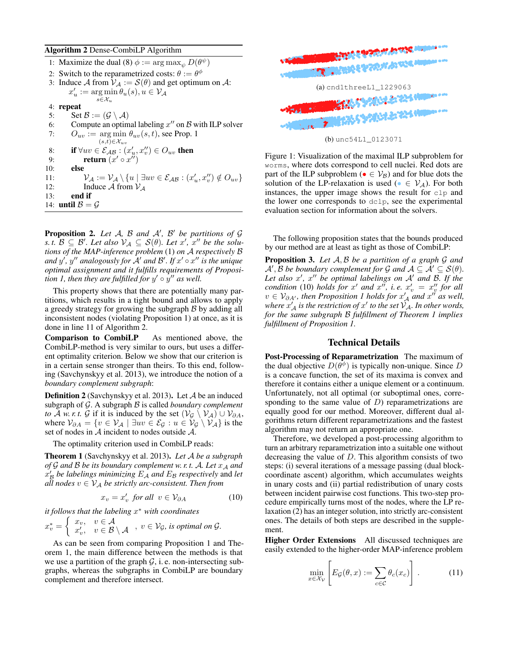#### Algorithm 2 Dense-CombiLP Algorithm

|     | 1: Maximize the dual (8) $\phi := \arg \max_{\psi} D(\theta^{\psi})$                                                                                             |
|-----|------------------------------------------------------------------------------------------------------------------------------------------------------------------|
|     | 2: Switch to the reparametrized costs: $\theta := \theta^{\phi}$                                                                                                 |
|     | 3: Induce A from $V_A := \mathcal{S}(\theta)$ and get optimum on A:                                                                                              |
|     | $x'_u := \arg \min \theta_u(s), u \in \mathcal{V}_{\mathcal{A}}$                                                                                                 |
|     | $s \in \mathcal{X}_u$                                                                                                                                            |
|     | 4: repeat                                                                                                                                                        |
| 5:  | Set $\mathcal{B} := (\mathcal{G} \setminus \mathcal{A})$                                                                                                         |
| 6:  | Compute an optimal labeling $x''$ on $\beta$ with ILP solver                                                                                                     |
| 7:  | $Q_{uv} := \arg \min \theta_{uv}(s,t)$ , see Prop. 1                                                                                                             |
|     | $(s,t) \in \mathcal{X}_{uv}$                                                                                                                                     |
| 8:  | if $\forall uv \in \mathcal{E}_{AB} : (x'_u, x''_v) \in O_{uv}$ then                                                                                             |
| 9:  | return $(x' \circ x'')$                                                                                                                                          |
| 10: | else                                                                                                                                                             |
| 11: | $\mathcal{V}_{\mathcal{A}} := \mathcal{V}_{\mathcal{A}} \setminus \{u \mid \exists uv \in \mathcal{E}_{\mathcal{A}\mathcal{B}} : (x'_u, x''_v) \notin O_{uv}\}\$ |
| 12: | Induce A from $V_4$                                                                                                                                              |
| 13: | end if                                                                                                                                                           |
|     | 14: <b>until</b> $\mathcal{B} = \mathcal{G}$                                                                                                                     |

**Proposition 2.** Let  $A$ ,  $B$  and  $A'$ ,  $B'$  be partitions of  $G$  $s. t. \mathcal{B} \subseteq \mathcal{B}'$ . Let also  $\mathcal{V}_\mathcal{A} \subseteq \mathcal{S}(\theta)$ . Let  $x', x''$  be the solu*tions of the MAP-inference problem* (1) *on* A *respectively* B and  $y'$ ,  $y''$  analogously for  $\overline{A}'$  and  $\overline{B}'$ . If  $x' \circ x''$  is the unique *optimal assignment and it fulfills requirements of Proposition 1, then they are fulfilled for*  $y' \circ y''$  as well.

This property shows that there are potentially many partitions, which results in a tight bound and allows to apply a greedy strategy for growing the subgraph  $\beta$  by adding all inconsistent nodes (violating Proposition 1) at once, as it is done in line 11 of Algorithm 2.

Comparison to CombiLP As mentioned above, the CombiLP-method is very similar to ours, but uses a different optimality criterion. Below we show that our criterion is in a certain sense stronger than theirs. To this end, following (Savchynskyy et al. 2013), we introduce the notion of a *boundary complement subgraph*:

Definition 2 (Savchynskyy et al. 2013). Let A be an induced subgraph of G. A subgraph B is called *boundary complement to*  $\overline{A}$  *w. r. t.*  $\overline{G}$  if it is induced by the set  $(\mathcal{V}_{\mathcal{G}} \setminus \mathcal{V}_{\mathcal{A}}) \cup \mathcal{V}_{\partial A}$ , where  $V_{\partial A} = \{v \in V_{\mathcal{A}} \mid \exists uv \in \mathcal{E}_{\mathcal{G}} : u \in V_{\mathcal{G}} \setminus V_{\mathcal{A}}\}$  is the set of nodes in  $A$  incident to nodes outside  $A$ .

The optimality criterion used in CombiLP reads:

Theorem 1 (Savchynskyy et al. 2013). *Let* A *be a subgraph of*  $G$  *and*  $B$  *be its boundary complement w. r. t.*  $A$ *. Let*  $x_A$  *and*  $\hat{x}'_B$  be labelings minimizing  $E_A$  and  $E_B$  respectively and let *all nodes*  $v \in V_A$  *be strictly arc-consistent. Then from* 

$$
x_v = x'_v \text{ for all } v \in \mathcal{V}_{\partial A} \tag{10}
$$

*it follows that the labeling* x <sup>∗</sup> *with coordinates*  $x_v^* = \begin{cases} x_v, & v \in \mathcal{A} \\ x' & v \in \mathcal{B} \end{cases}$  $x_v^v, v \in \mathbb{R} \setminus \mathcal{A}$ ,  $v \in \mathcal{V}_{\mathcal{G}}$ , is optimal on  $\mathcal{G}$ .

As can be seen from comparing Proposition 1 and Theorem 1, the main difference between the methods is that we use a partition of the graph  $G$ , i.e. non-intersecting subgraphs, whereas the subgraphs in CombiLP are boundary complement and therefore intersect.



(b) unc54L1\_0123071

Figure 1: Visualization of the maximal ILP subproblem for worms, where dots correspond to cell nuclei. Red dots are part of the ILP subproblem ( $\bullet \in V_B$ ) and for blue dots the solution of the LP-relaxation is used ( $\bullet \in V_A$ ). For both instances, the upper image shows the result for clp and the lower one corresponds to dclp, see the experimental evaluation section for information about the solvers.

The following proposition states that the bounds produced by our method are at least as tight as those of CombiLP:

Proposition 3. *Let* A, B *be a partition of a graph* G *and*  $\mathcal{A}', \mathcal{B}$  *be boundary complement for*  $\mathcal{G}$  *and*  $\mathcal{A} \subseteq \mathcal{A}' \subseteq \mathcal{S}(\theta)$ *.* Let also x', x'' be optimal labelings on A' and B. If the *condition* (10) *holds* for x' and  $x''$ , i.e.  $x'_v = x''_v$  for all  $v \in V_{\partial A'}$ , then Proposition 1 holds for  $x'_{A}$  and  $x''$  as well, where  $x'_A$  is the restriction of  $x'$  to the set  $\check{\mathcal{V}}_{\mathcal{A}}$ *. In other words, for the same subgraph* B *fulfillment of Theorem 1 implies fulfillment of Proposition 1.*

## Technical Details

Post-Processing of Reparametrization The maximum of the dual objective  $D(\theta^{\phi})$  is typically non-unique. Since D is a concave function, the set of its maxima is convex and therefore it contains either a unique element or a continuum. Unfortunately, not all optimal (or suboptimal ones, corresponding to the same value of  $D$ ) reparametrizations are equally good for our method. Moreover, different dual algorithms return different reparametrizations and the fastest algorithm may not return an appropriate one.

Therefore, we developed a post-processing algorithm to turn an arbitrary reparametrization into a suitable one without decreasing the value of  $D$ . This algorithm consists of two steps: (i) several iterations of a message passing (dual blockcoordinate ascent) algorithm, which accumulates weights in unary costs and (ii) partial redistribution of unary costs between incident pairwise cost functions. This two-step procedure empirically turns most of the nodes, where the LP relaxation (2) has an integer solution, into strictly arc-consistent ones. The details of both steps are described in the supplement.

Higher Order Extensions All discussed techniques are easily extended to the higher-order MAP-inference problem

$$
\min_{x \in \mathcal{X}_{\mathcal{V}}} \left[ E_{\mathcal{G}}(\theta, x) := \sum_{c \in \mathcal{C}} \theta_c(x_c) \right]. \tag{11}
$$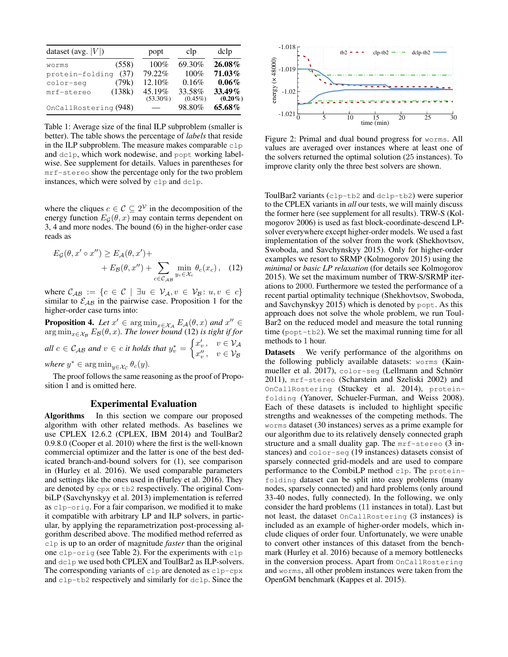| dataset (avg. $ V $ ) |        | popt                  | clp                  | dclp                 |
|-----------------------|--------|-----------------------|----------------------|----------------------|
| worms                 | (558)  | $100\%$               | 69.30%               | 26.08%               |
| protein-folding       | (37)   | 79.22%                | 100%                 | 71.03%               |
| color-seq             | (79k)  | 12.10%                | 0.16%                | $0.06\%$             |
| mrf-stereo            | (138k) | 45.19%<br>$(53.30\%)$ | 33.58%<br>$(0.45\%)$ | 33.49%<br>$(0.20\%)$ |
| OnCallRostering (948) |        |                       | 98.80%               | 65.68%               |

Table 1: Average size of the final ILP subproblem (smaller is better). The table shows the percentage of *labels* that reside in the ILP subproblem. The measure makes comparable  $c1p$ and dclp, which work nodewise, and popt working labelwise. See supplement for details. Values in parentheses for mrf-stereo show the percentage only for the two problem instances, which were solved by clp and dclp.

where the cliques  $c \in \mathcal{C} \subseteq 2^{\mathcal{V}}$  in the decomposition of the energy function  $E_{\mathcal{G}}(\theta, x)$  may contain terms dependent on 3, 4 and more nodes. The bound (6) in the higher-order case reads as

$$
E_{\mathcal{G}}(\theta, x' \circ x'') \ge E_{\mathcal{A}}(\theta, x') +
$$
  
+ 
$$
E_{\mathcal{B}}(\theta, x'') + \sum_{c \in \mathcal{C}_{\mathcal{A}\mathcal{B}}} \min_{y_c \in \mathcal{X}_c} \theta_c(x_c), \quad (12)
$$

where  $\mathcal{C}_{AB} := \{c \in \mathcal{C} \mid \exists u \in \mathcal{V}_A, v \in \mathcal{V}_B : u, v \in c\}$ similar to  $\mathcal{E}_{AB}$  in the pairwise case. Proposition 1 for the higher-order case turns into:

**Proposition 4.** *Let*  $x' \in \arg\min_{x \in \mathcal{X}_{\mathcal{A}}} E_{\mathcal{A}}(\theta, x)$  *and*  $x'' \in$  $\argmin_{x \in \mathcal{X}_{\mathcal{B}}} E_{\mathcal{B}}(\theta, x)$ *. The lower bound* (12) *is tight if for*  $all \ c \in \mathcal{C}_{AB}$  and  $v \in c$  *it holds that*  $y_v^* = \begin{cases} x'_v, & v \in \mathcal{V}_{AB} \\ \alpha'' & v \in \mathcal{V}_{AB} \end{cases}$  $x''_v, v \in V_B$ *where*  $y^* \in \argmin_{y \in \mathcal{X}_c} \theta_c(y)$ *.* 

The proof follows the same reasoning as the proof of Proposition 1 and is omitted here.

## Experimental Evaluation

Algorithms In this section we compare our proposed algorithm with other related methods. As baselines we use CPLEX 12.6.2 (CPLEX, IBM 2014) and ToulBar2 0.9.8.0 (Cooper et al. 2010) where the first is the well-known commercial optimizer and the latter is one of the best dedicated branch-and-bound solvers for (1), see comparison in (Hurley et al. 2016). We used comparable parameters and settings like the ones used in (Hurley et al. 2016). They are denoted by cpx or tb2 respectively. The original CombiLP (Savchynskyy et al. 2013) implementation is referred as clp-orig. For a fair comparison, we modified it to make it compatible with arbitrary LP and ILP solvers, in particular, by applying the reparametrization post-processing algorithm described above. The modified method referred as clp is up to an order of magnitude *faster* than the original one clp-orig (see Table 2). For the experiments with clp and dclp we used both CPLEX and ToulBar2 as ILP-solvers. The corresponding variants of  $c1p$  are denoted as  $c1p-cpx$ and clp-tb2 respectively and similarly for dclp. Since the



Figure 2: Primal and dual bound progress for worms. All values are averaged over instances where at least one of the solvers returned the optimal solution (25 instances). To improve clarity only the three best solvers are shown.

ToulBar2 variants (clp-tb2 and dclp-tb2) were superior to the CPLEX variants in *all* our tests, we will mainly discuss the former here (see supplement for all results). TRW-S (Kolmogorov 2006) is used as fast block-coordinate-descend LPsolver everywhere except higher-order models. We used a fast implementation of the solver from the work (Shekhovtsov, Swoboda, and Savchynskyy 2015). Only for higher-order examples we resort to SRMP (Kolmogorov 2015) using the *minimal* or *basic LP relaxation* (for details see Kolmogorov 2015). We set the maximum number of TRW-S/SRMP iterations to 2000. Furthermore we tested the performance of a recent partial optimality technique (Shekhovtsov, Swoboda, and Savchynskyy 2015) which is denoted by popt. As this approach does not solve the whole problem, we run Toul-Bar2 on the reduced model and measure the total running time (popt-tb2). We set the maximal running time for all methods to 1 hour.

Datasets We verify performance of the algorithms on the following publicly available datasets: worms (Kainmueller et al. 2017), color-seg (Lellmann and Schnörr 2011), mrf-stereo (Scharstein and Szeliski 2002) and OnCallRostering (Stuckey et al. 2014), proteinfolding (Yanover, Schueler-Furman, and Weiss 2008). Each of these datasets is included to highlight specific strengths and weaknesses of the competing methods. The worms dataset (30 instances) serves as a prime example for our algorithm due to its relatively densely connected graph structure and a small duality gap. The mrf-stereo (3 instances) and color-seg (19 instances) datasets consist of sparsely connected grid-models and are used to compare performance to the CombiLP method clp. The proteinfolding dataset can be split into easy problems (many nodes, sparsely connected) and hard problems (only around 33-40 nodes, fully connected). In the following, we only consider the hard problems (11 instances in total). Last but not least, the dataset OnCallRostering (3 instances) is included as an example of higher-order models, which include cliques of order four. Unfortunately, we were unable to convert other instances of this dataset from the benchmark (Hurley et al. 2016) because of a memory bottlenecks in the conversion process. Apart from OnCallRostering and worms, all other problem instances were taken from the OpenGM benchmark (Kappes et al. 2015).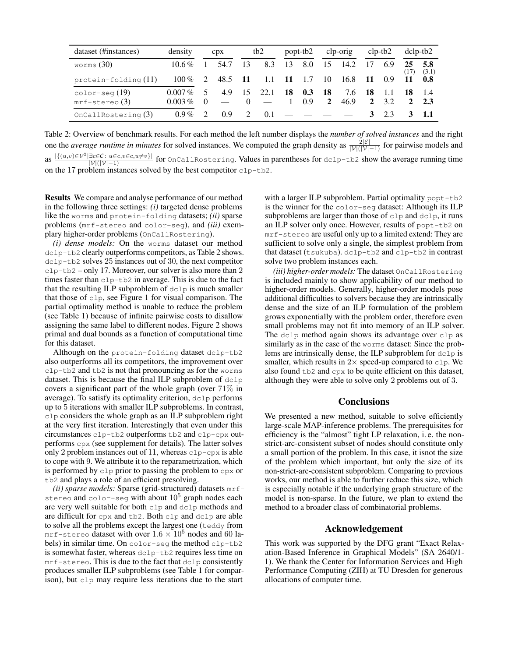| dataset (#instances) | density   |          | CDX  | tb <sub>2</sub> |      |      | popt-tb2 |              | clp-orig |    | $clp-tb2$ | $dclp-tb2$ |              |
|----------------------|-----------|----------|------|-----------------|------|------|----------|--------------|----------|----|-----------|------------|--------------|
| worms $(30)$         | $10.6\%$  |          | 54.7 | 13              | 8.3  | 13   | 8.0      | 15           | 14.2     |    | 6.9       | 25<br>(17) | 5.8<br>(3.1) |
| protein-folding (11) | $100\%$   |          | 48.5 | -11             | 1.1  | - 11 | -1.7     | 10           | 16.8     | 11 | 0.9       |            | -0.8         |
| $color-seg(19)$      | $0.007\%$ |          | 4.9  | 15              | 22.1 | 18   | 0.3      | 18           | 7.6      | 18 |           | 18         |              |
| $mrf$ -stereo $(3)$  | $0.003\%$ | $\Omega$ |      | $\Omega$        |      |      | 0.9      | $\mathbf{2}$ | 46.9     |    | 32        |            | 2.3          |
| OnCallRostering (3)  | $0.9\%$   |          | 0.9  | 2               | 0.1  |      |          |              |          | 3  | 2.3       |            |              |

Table 2: Overview of benchmark results. For each method the left number displays the *number of solved instances* and the right one the *average runtime in minutes* for solved instances. We computed the graph density as  $\frac{2|\mathcal{E}|}{|\mathcal{V}|(|\mathcal{V}|-1)}$  for pairwise models and as  $\frac{|\{(u,v)\in\mathcal{V}^2|\exists c\in\mathcal{C}:\ u\in c,v\in c,u\neq v\}|}{|\mathcal{V}|(|\mathcal{V}|-1)}$  for OnCallRostering. Values in parentheses for dclp-tb2 show the average running time on the 17 problem instances solved by the best competitor clp-tb2.

Results We compare and analyse performance of our method in the following three settings: *(i)* targeted dense problems like the worms and protein-folding datasets; *(ii)* sparse problems (mrf-stereo and color-seg), and *(iii)* exemplary higher-order problems (OnCallRostering).

*(i) dense models:* On the worms dataset our method dclp-tb2 clearly outperforms competitors, as Table 2 shows. dclp-tb2 solves 25 instances out of 30, the next competitor clp-tb2 – only 17. Moreover, our solver is also more than 2 times faster than clp-tb2 in average. This is due to the fact that the resulting ILP subproblem of dclp is much smaller that those of clp, see Figure 1 for visual comparison. The partial optimality method is unable to reduce the problem (see Table 1) because of infinite pairwise costs to disallow assigning the same label to different nodes. Figure 2 shows primal and dual bounds as a function of computational time for this dataset.

Although on the protein-folding dataset dclp-tb2 also outperforms all its competitors, the improvement over clp-tb2 and tb2 is not that pronouncing as for the worms dataset. This is because the final ILP subproblem of dclp covers a significant part of the whole graph (over 71% in average). To satisfy its optimality criterion, dclp performs up to 5 iterations with smaller ILP subproblems. In contrast, clp considers the whole graph as an ILP subproblem right at the very first iteration. Interestingly that even under this circumstances clp-tb2 outperforms tb2 and clp-cpx outperforms cpx (see supplement for details). The latter solves only 2 problem instances out of 11, whereas clp-cpx is able to cope with 9. We attribute it to the reparametrization, which is performed by clp prior to passing the problem to cpx or tb2 and plays a role of an efficient presolving.

*(ii) sparse models:* Sparse (grid-structured) datasets mr fstereo and color-seg with about  $10^5$  graph nodes each are very well suitable for both clp and dclp methods and are difficult for cpx and tb2. Both clp and dclp are able to solve all the problems except the largest one (teddy from mrf-stereo dataset with over  $1.6 \times 10^5$  nodes and 60 labels) in similar time. On color-seg the method clp-tb2 is somewhat faster, whereas dclp-tb2 requires less time on mrf-stereo. This is due to the fact that dclp consistently produces smaller ILP subproblems (see Table 1 for comparison), but clp may require less iterations due to the start

with a larger ILP subproblem. Partial optimality popt-tb2 is the winner for the color-seg dataset: Although its ILP subproblems are larger than those of clp and dclp, it runs an ILP solver only once. However, results of popt-tb2 on mrf-stereo are useful only up to a limited extend: They are sufficient to solve only a single, the simplest problem from that dataset (tsukuba). dclp-tb2 and clp-tb2 in contrast solve two problem instances each.

*(iii) higher-order models:* The dataset OnCallRostering is included mainly to show applicability of our method to higher-order models. Generally, higher-order models pose additional difficulties to solvers because they are intrinsically dense and the size of an ILP formulation of the problem grows exponentially with the problem order, therefore even small problems may not fit into memory of an ILP solver. The dclp method again shows its advantage over clp as similarly as in the case of the worms dataset: Since the problems are intrinsically dense, the ILP subproblem for dclp is smaller, which results in  $2 \times$  speed-up compared to  $c1p$ . We also found tb2 and cpx to be quite efficient on this dataset, although they were able to solve only 2 problems out of 3.

# **Conclusions**

We presented a new method, suitable to solve efficiently large-scale MAP-inference problems. The prerequisites for efficiency is the "almost" tight LP relaxation, i. e. the nonstrict-arc-consistent subset of nodes should constitute only a small portion of the problem. In this case, it isnot the size of the problem which important, but only the size of its non-strict-arc-consistent subproblem. Comparing to previous works, our method is able to further reduce this size, which is especially notable if the underlying graph structure of the model is non-sparse. In the future, we plan to extend the method to a broader class of combinatorial problems.

## Acknowledgement

This work was supported by the DFG grant "Exact Relaxation-Based Inference in Graphical Models" (SA 2640/1- 1). We thank the Center for Information Services and High Performance Computing (ZIH) at TU Dresden for generous allocations of computer time.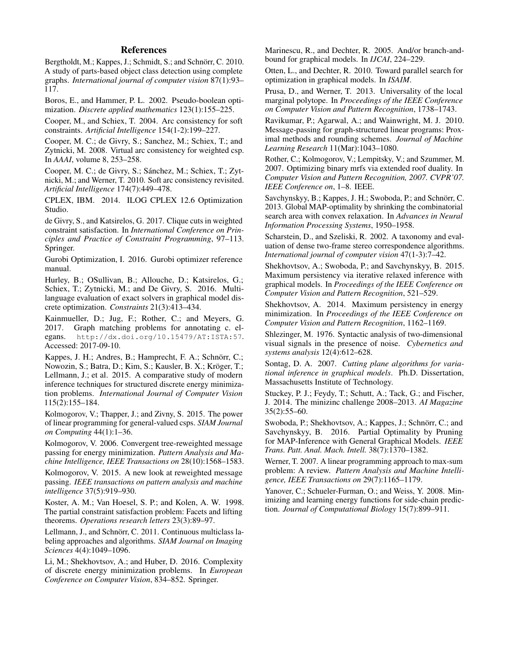# References

Bergtholdt, M.; Kappes, J.; Schmidt, S.; and Schnörr, C. 2010. A study of parts-based object class detection using complete graphs. *International journal of computer vision* 87(1):93– 117.

Boros, E., and Hammer, P. L. 2002. Pseudo-boolean optimization. *Discrete applied mathematics* 123(1):155–225.

Cooper, M., and Schiex, T. 2004. Arc consistency for soft constraints. *Artificial Intelligence* 154(1-2):199–227.

Cooper, M. C.; de Givry, S.; Sanchez, M.; Schiex, T.; and Zytnicki, M. 2008. Virtual arc consistency for weighted csp. In *AAAI*, volume 8, 253–258.

Cooper, M. C.; de Givry, S.; Sánchez, M.; Schiex, T.; Zytnicki, M.; and Werner, T. 2010. Soft arc consistency revisited. *Artificial Intelligence* 174(7):449–478.

CPLEX, IBM. 2014. ILOG CPLEX 12.6 Optimization Studio.

de Givry, S., and Katsirelos, G. 2017. Clique cuts in weighted constraint satisfaction. In *International Conference on Principles and Practice of Constraint Programming*, 97–113. Springer.

Gurobi Optimization, I. 2016. Gurobi optimizer reference manual.

Hurley, B.; OSullivan, B.; Allouche, D.; Katsirelos, G.; Schiex, T.; Zytnicki, M.; and De Givry, S. 2016. Multilanguage evaluation of exact solvers in graphical model discrete optimization. *Constraints* 21(3):413–434.

Kainmueller, D.; Jug, F.; Rother, C.; and Meyers, G. 2017. Graph matching problems for annotating c. elegans. http://dx.doi.org/10.15479/AT:ISTA:57. Accessed: 2017-09-10.

Kappes, J. H.; Andres, B.; Hamprecht, F. A.; Schnörr, C.; Nowozin, S.; Batra, D.; Kim, S.; Kausler, B. X.; Kröger, T.; Lellmann, J.; et al. 2015. A comparative study of modern inference techniques for structured discrete energy minimization problems. *International Journal of Computer Vision* 115(2):155–184.

Kolmogorov, V.; Thapper, J.; and Zivny, S. 2015. The power of linear programming for general-valued csps. *SIAM Journal on Computing* 44(1):1–36.

Kolmogorov, V. 2006. Convergent tree-reweighted message passing for energy minimization. *Pattern Analysis and Machine Intelligence, IEEE Transactions on* 28(10):1568–1583.

Kolmogorov, V. 2015. A new look at reweighted message passing. *IEEE transactions on pattern analysis and machine intelligence* 37(5):919–930.

Koster, A. M.; Van Hoesel, S. P.; and Kolen, A. W. 1998. The partial constraint satisfaction problem: Facets and lifting theorems. *Operations research letters* 23(3):89–97.

Lellmann, J., and Schnörr, C. 2011. Continuous multiclass labeling approaches and algorithms. *SIAM Journal on Imaging Sciences* 4(4):1049–1096.

Li, M.; Shekhovtsov, A.; and Huber, D. 2016. Complexity of discrete energy minimization problems. In *European Conference on Computer Vision*, 834–852. Springer.

Marinescu, R., and Dechter, R. 2005. And/or branch-andbound for graphical models. In *IJCAI*, 224–229.

Otten, L., and Dechter, R. 2010. Toward parallel search for optimization in graphical models. In *ISAIM*.

Prusa, D., and Werner, T. 2013. Universality of the local marginal polytope. In *Proceedings of the IEEE Conference on Computer Vision and Pattern Recognition*, 1738–1743.

Ravikumar, P.; Agarwal, A.; and Wainwright, M. J. 2010. Message-passing for graph-structured linear programs: Proximal methods and rounding schemes. *Journal of Machine Learning Research* 11(Mar):1043–1080.

Rother, C.; Kolmogorov, V.; Lempitsky, V.; and Szummer, M. 2007. Optimizing binary mrfs via extended roof duality. In *Computer Vision and Pattern Recognition, 2007. CVPR'07. IEEE Conference on*, 1–8. IEEE.

Savchynskyy, B.; Kappes, J. H.; Swoboda, P.; and Schnörr, C. 2013. Global MAP-optimality by shrinking the combinatorial search area with convex relaxation. In *Advances in Neural Information Processing Systems*, 1950–1958.

Scharstein, D., and Szeliski, R. 2002. A taxonomy and evaluation of dense two-frame stereo correspondence algorithms. *International journal of computer vision* 47(1-3):7–42.

Shekhovtsov, A.; Swoboda, P.; and Savchynskyy, B. 2015. Maximum persistency via iterative relaxed inference with graphical models. In *Proceedings of the IEEE Conference on Computer Vision and Pattern Recognition*, 521–529.

Shekhovtsov, A. 2014. Maximum persistency in energy minimization. In *Proceedings of the IEEE Conference on Computer Vision and Pattern Recognition*, 1162–1169.

Shlezinger, M. 1976. Syntactic analysis of two-dimensional visual signals in the presence of noise. *Cybernetics and systems analysis* 12(4):612–628.

Sontag, D. A. 2007. *Cutting plane algorithms for variational inference in graphical models*. Ph.D. Dissertation, Massachusetts Institute of Technology.

Stuckey, P. J.; Feydy, T.; Schutt, A.; Tack, G.; and Fischer, J. 2014. The minizinc challenge 2008–2013. *AI Magazine* 35(2):55–60.

Swoboda, P.; Shekhovtsov, A.; Kappes, J.; Schnörr, C.; and Savchynskyy, B. 2016. Partial Optimality by Pruning for MAP-Inference with General Graphical Models. *IEEE Trans. Patt. Anal. Mach. Intell.* 38(7):1370–1382.

Werner, T. 2007. A linear programming approach to max-sum problem: A review. *Pattern Analysis and Machine Intelligence, IEEE Transactions on* 29(7):1165–1179.

Yanover, C.; Schueler-Furman, O.; and Weiss, Y. 2008. Minimizing and learning energy functions for side-chain prediction. *Journal of Computational Biology* 15(7):899–911.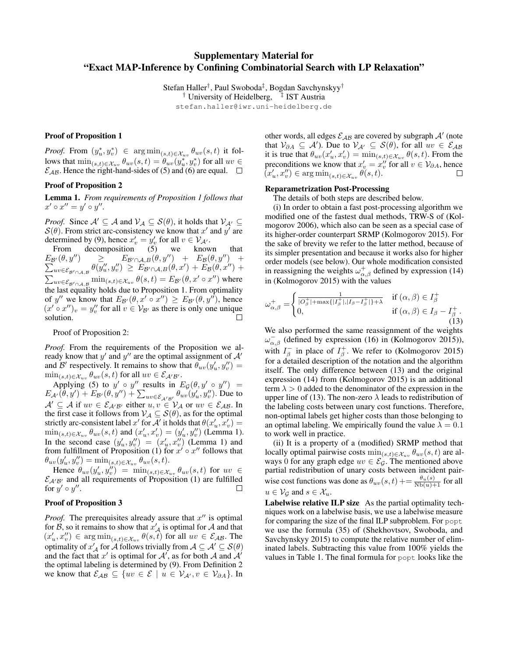# Supplementary Material for "Exact MAP-Inference by Confining Combinatorial Search with LP Relaxation"

Stefan Haller<sup>†</sup>, Paul Swoboda<sup>‡</sup>, Bogdan Savchynskyy<sup>†</sup> <sup>†</sup> University of Heidelberg, <sup>‡</sup> IST Austria stefan.haller@iwr.uni-heidelberg.de

# Proof of Proposition 1

*Proof.* From  $(y_u^*, y_v^*) \in \arg\min_{(s,t)\in \mathcal{X}_{uv}} \theta_{uv}(s,t)$  it follows that  $\min_{(s,t)\in\mathcal{X}_{uv}} \theta_{uv}(s,t) = \theta_{uv}(y_u^*, y_v^*)$  for all  $uv \in$  $\mathcal{E}_{AB}$ . Hence the right-hand-sides of (5) and (6) are equal.  $\Box$ 

#### Proof of Proposition 2

Lemma 1. *From requirements of Proposition 1 follows that*  $x' \circ x'' = y' \circ y''$ .

*Proof.* Since  $A' \subseteq A$  and  $V_A \subseteq S(\theta)$ , it holds that  $V_{A'} \subseteq$  $S(\theta)$ . From strict arc-consistency we know that x' and y' are determined by (9), hence  $x'_v = y'_v$  for all  $v \in V_{\mathcal{A}}$ .

From decomposition (5) we known that  $E_{\mathcal{B}'}(\theta, y'') \geq E_{\mathcal{B}' \cap \mathcal{A}, B}(\theta, y'') + E_{\mathcal{B}}(\theta, y'') + \sum_{uv \in \mathcal{E}_{\mathcal{B}'}} \theta(y''_u, y''_v) \geq E_{\mathcal{B}' \cap \mathcal{A}, B}(\theta, x') + E_{\mathcal{B}}(\theta, x'') +$  $\lim_{uv \in \mathcal{E}_{\mathcal{B}' \cap \mathcal{A}, \mathcal{B}}}\theta(y''_u, y''_v) \geq E_{\mathcal{B}' \cap \mathcal{A}, \mathcal{B}}(\theta, x') + E_{\mathcal{B}}(\theta, x'') +$  $\sum_{uv \in \mathcal{E}_{\mathcal{B}' \cap \mathcal{A}, \mathcal{B}}} \min_{(s,t) \in \mathcal{X}_{uv}} \theta(s,t) = E_{\mathcal{B}'}(\theta, x' \circ x'')$  where the last equality holds due to Proposition 1. From optimality of y'' we know that  $E_{\mathcal{B}}(\theta, x' \circ x'') \geq E_{\mathcal{B}}(\theta, y'')$ , hence  $(x' \circ x'')_v = y''_v$  for all  $v \in V_{\mathcal{B}'}$  as there is only one unique solution. П

Proof of Proposition 2:

*Proof.* From the requirements of the Proposition we already know that y' and y'' are the optimal assignment of  $A'$ and B' respectively. It remains to show that  $\theta_{uv}(y'_u, y''_v)$  =  $\min_{(s,t)\in\mathcal{X}_{uv}} \theta_{uv}(s,t)$  for all  $uv\in\mathcal{E}_{\mathcal{A}'\mathcal{B}'}$ .

Applying (5) to  $y' \circ y''$  results in  $E_{\mathcal{G}}(\theta, y' \circ y'') =$  $E_{A'}(\hat{\theta}, y') + E_{B'}(\theta, y'') + \sum_{uv \in \mathcal{E}_{A'B'}} \theta_{uv}(y'_u, y''_v)$ . Due to  $A' \subseteq A$  if  $uv \in \mathcal{E}_{A'B'}$  either  $u, v \in V_A$  or  $uv \in \mathcal{E}_{AB}$ . In the first case it follows from  $\mathcal{V}_\mathcal{A} \subseteq \mathcal{S}(\theta)$ , as for the optimal strictly arc-consistent label  $x'$  for  $A'$  it holds that  $\theta(x'_u, x'_v) =$  $\min_{(s,t)\in\mathcal{X}_{uv}} \theta_{uv}(s,t)$  and  $(x'_u, x'_v) = (y'_u, y''_v)$  (Lemma 1). In the second case  $(y'_u, y''_v) = (x'_u, x''_v)$  (Lemma 1) and from fulfillment of Proposition (1) for  $x' \circ x''$  follows that  $\theta_{uv}(y'_u, y''_v) = \min_{(s,t)\in \mathcal{X}_{uv}} \theta_{uv}(s,t).$ 

Hence  $\theta_{uv}(y'_u, y''_v)$  =  $\min_{(s,t)\in \mathcal{X}_{uv}} \theta_{uv}(s,t)$  for  $uv \in$  $\mathcal{E}_{A'B'}$  and all requirements of Proposition (1) are fulfilled for  $y' \circ y''$ .  $\Box$ 

#### Proof of Proposition 3

*Proof.* The prerequisites already assure that  $x''$  is optimal for  $\hat{B}$ , so it remains to show that  $x'_{\mathcal{A}}$  is optimal for  $\hat{A}$  and that  $(x'_u, x''_v) \in \arg\min_{(s,t)\in \mathcal{X}_{uv}} \theta(s,t)$  for all  $uv \in \mathcal{E}_{AB}$ . The optimality of  $x'_{\mathcal{A}}$  for  $\mathcal{A}$  follows trivially from  $\mathcal{A} \subseteq \mathcal{A}' \subseteq \mathcal{S}(\theta)$ and the fact that  $x'$  is optimal for  $A'$ , as for both A and  $A'$ the optimal labeling is determined by (9). From Definition 2 we know that  $\mathcal{E}_{AB} \subseteq \{uv \in \mathcal{E} \mid u \in \mathcal{V}_{A'}, v \in \mathcal{V}_{\partial A}\}.$  In

other words, all edges  $\mathcal{E}_{AB}$  are covered by subgraph  $\mathcal{A}'$  (note that  $V_{\partial A} \subseteq A'$ ). Due to  $V_{A'} \subseteq S(\theta)$ , for all  $uv \in \mathcal{E}_{AB}$ it is true that  $\theta_{uv}(x'_u, x'_v) = \min_{(s,t) \in \mathcal{X}_{uv}} \theta(s,t)$ . From the preconditions we know that  $x'_v = x''_v$  for all  $v \in V_{\partial A}$ , hence  $\tilde{(x'_u, x''_v)} \in \argmin_{(s,t)\in \mathcal{X}_{uv}} \theta(s,t).$ 

## Reparametrization Post-Processing

The details of both steps are described below.

(i) In order to obtain a fast post-processing algorithm we modified one of the fastest dual methods, TRW-S of (Kolmogorov 2006), which also can be seen as a special case of its higher-order counterpart SRMP (Kolmogorov 2015). For the sake of brevity we refer to the latter method, because of its simpler presentation and because it works also for higher order models (see below). Our whole modification consisted in reassigning the weights  $\omega_{\alpha,\beta}^{+}$  defined by expression (14) in (Kolmogorov 2015) with the values

$$
\omega_{\alpha,\beta}^{+} = \begin{cases}\n\frac{1}{|O_{\beta}^{+}| + \max\{|I_{\beta}^{+}|, |I_{\beta} - I_{\beta}^{+}| \} + \lambda} & \text{if } (\alpha,\beta) \in I_{\beta}^{+} \\
0, & \text{if } (\alpha,\beta) \in I_{\beta} - I_{\beta}^{+} \tag{13}\n\end{cases}
$$

We also performed the same reassignment of the weights  $\omega_{\alpha,\beta}^{-}$  (defined by expression (16) in (Kolmogorov 2015)), with  $I_{\beta}^-$  in place of  $I_{\beta}^+$ . We refer to (Kolmogorov 2015) for a detailed description of the notation and the algorithm itself. The only difference between (13) and the original expression (14) from (Kolmogorov 2015) is an additional term  $\lambda > 0$  added to the denominator of the expression in the upper line of (13). The non-zero  $\lambda$  leads to redistribution of the labeling costs between unary cost functions. Therefore, non-optimal labels get higher costs than those belonging to an optimal labeling. We empirically found the value  $\lambda = 0.1$ to work well in practice.

(ii) It is a property of a (modified) SRMP method that locally optimal pairwise costs  $\min_{(s,t)\in\mathcal{X}_{uv}} \theta_{uv}(s,t)$  are always 0 for any graph edge  $uv \in \mathcal{E}_{\mathcal{G}}$ . The mentioned above partial redistribution of unary costs between incident pairwise cost functions was done as  $\theta_{uv}(s,t) \mathrel{+}= \frac{\theta_u(s)}{Nb(u)+1}$  for all  $u \in V_{\mathcal{G}}$  and  $s \in \mathcal{X}_u$ .

Labelwise relative ILP size As the partial optimality techniques work on a labelwise basis, we use a labelwise measure for comparing the size of the final ILP subproblem. For popt we use the formula (35) of (Shekhovtsov, Swoboda, and Savchynskyy 2015) to compute the relative number of eliminated labels. Subtracting this value from 100% yields the values in Table 1. The final formula for popt looks like the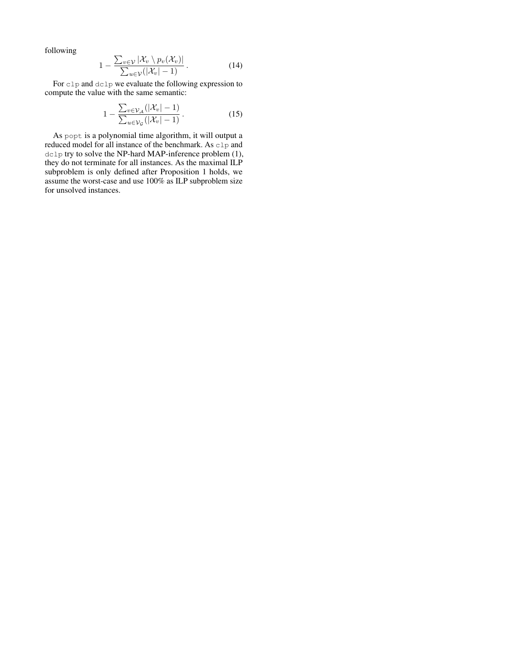following

$$
1 - \frac{\sum_{v \in \mathcal{V}} |\mathcal{X}_v \setminus p_v(\mathcal{X}_v)|}{\sum_{u \in \mathcal{V}} (|\mathcal{X}_v| - 1)}.
$$
 (14)

For clp and dclp we evaluate the following expression to compute the value with the same semantic:

$$
1 - \frac{\sum_{v \in \mathcal{V}_{\mathcal{A}}} (|\mathcal{X}_v| - 1)}{\sum_{u \in \mathcal{V}_{\mathcal{G}}} (|\mathcal{X}_v| - 1)}.
$$
 (15)

As popt is a polynomial time algorithm, it will output a reduced model for all instance of the benchmark. As clp and dclp try to solve the NP-hard MAP-inference problem (1), they do not terminate for all instances. As the maximal ILP subproblem is only defined after Proposition 1 holds, we assume the worst-case and use 100% as ILP subproblem size for unsolved instances.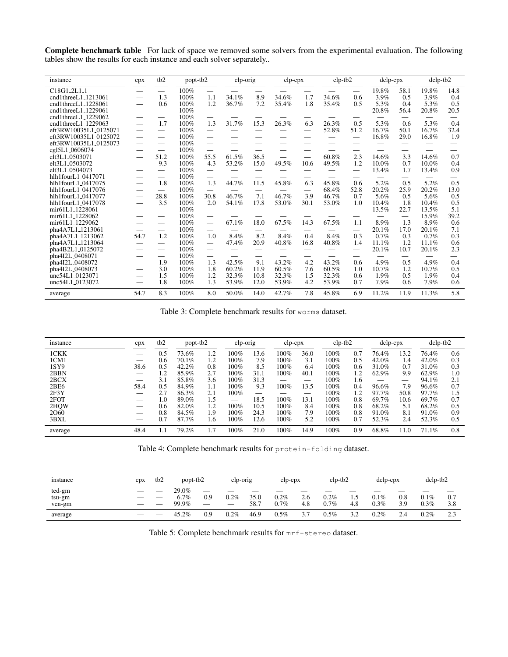Complete benchmark table For lack of space we removed some solvers from the experimental evaluation. The following tables show the results for each instance and each solver separately..

| instance                             | cpx                      | tb <sub>2</sub>          | popt-tb2     |                                 | clp-orig |                               | $clp$ - $cpx$ |                          | $clp-tb2$ |                   | dclp-cpx      |             | dclp-tb2      |             |
|--------------------------------------|--------------------------|--------------------------|--------------|---------------------------------|----------|-------------------------------|---------------|--------------------------|-----------|-------------------|---------------|-------------|---------------|-------------|
| $C18G1_2L1_1$<br>cnd1threeL1_1213061 | $\overline{\phantom{0}}$ | 1.3                      | 100%<br>100% | $\overline{\phantom{0}}$<br>1.1 | 34.1%    | 8.9                           | 34.6%         | 1.7                      | 34.6%     | 0.6               | 19.8%<br>3.9% | 58.1<br>0.5 | 19.8%<br>3.9% | 14.8<br>0.4 |
| cnd1threeL1_1228061                  |                          | 0.6                      | 100%         | 1.2                             | 36.7%    | 7.2                           | 35.4%         | 1.8                      | 35.4%     | 0.5               | 5.3%          | 0.4         | 5.3%          | 0.5         |
| cnd1threeL1_1229061                  |                          | $\overline{\phantom{0}}$ | 100%         | $\overline{\phantom{0}}$        |          |                               |               |                          |           |                   | 20.8%         | 56.4        | 20.8%         | 20.5        |
| cnd1threeL1_1229062                  |                          | $\overline{\phantom{0}}$ | 100%         | $\overline{\phantom{0}}$        |          |                               |               |                          |           |                   |               |             |               |             |
| cnd1threeL1_1229063                  | $\overline{\phantom{0}}$ | 1.7                      | 100%         | 1.3                             | 31.7%    | 15.3                          | 26.3%         | 6.3                      | 26.3%     | 0.5               | 5.3%          | 0.6         | 5.3%          | 0.4         |
| eft3RW10035L1_0125071                |                          |                          | 100%         | $\overline{\phantom{0}}$        |          |                               |               |                          | 52.8%     | 51.2              | 16.7%         | 50.1        | 16.7%         | 32.4        |
| eft3RW10035L1_0125072                |                          | $\overline{\phantom{0}}$ | 100%         | $\overline{\phantom{0}}$        |          |                               |               |                          | __        | $\hspace{0.05cm}$ | 16.8%         | 29.0        | 16.8%         | 1.9         |
| eft3RW10035L1_0125073                |                          | $\overline{\phantom{0}}$ | 100%         | $\overline{\phantom{0}}$        |          |                               |               |                          |           |                   |               |             |               |             |
| eg15L1_0606074                       |                          |                          | 100%         | $\overline{\phantom{0}}$        |          |                               |               |                          |           |                   |               |             |               |             |
| elt3L1_0503071                       |                          | 51.2                     | 100%         | 55.5                            | 61.5%    | 36.5                          |               |                          | 60.8%     | 2.3               | 14.6%         | 3.3         | 14.6%         | 0.7         |
| elt3L1_0503072                       |                          | 9.3                      | 100%         | 4.3                             | 53.2%    | 15.0                          | 49.5%         | 10.6                     | 49.5%     | 1.2               | 10.0%         | 0.7         | 10.0%         | 0.4         |
| elt3L1_0504073                       |                          | $\overline{\phantom{0}}$ | 100%         | $\overline{\phantom{0}}$        |          |                               |               |                          |           |                   | 13.4%         | 1.7         | 13.4%         | 0.9         |
| hlh1fourL1_0417071                   |                          |                          | 100%         |                                 |          |                               |               |                          |           |                   |               |             |               |             |
| hlh1fourL1_0417075                   |                          | 1.8                      | 100%         | 1.3                             | 44.7%    | 11.5                          | 45.8%         | 6.3                      | 45.8%     | 0.6               | 5.2%          | 0.5         | 5.2%          | 0.5         |
| hlh1fourL1_0417076                   |                          | $\overline{\phantom{0}}$ | 100%         | $\overline{\phantom{0}}$        |          | —                             |               | $\overline{\phantom{0}}$ | 68.4%     | 52.8              | 20.2%         | 25.9        | 20.2%         | 13.0        |
| hlh1fourL1_0417077                   |                          | 28.8                     | 100%         | 30.8                            | 46.7%    | 7.1                           | 46.7%         | 3.9                      | 46.7%     | 0.7               | 5.6%          | 0.5         | 5.6%          | 0.5         |
| hlh1fourL1_0417078                   |                          | 3.5                      | 100%         | 2.0                             | 54.1%    | 17.8                          | 53.0%         | 30.1                     | 53.0%     | 1.0               | 10.4%         | 1.8         | 10.4%         | 0.5         |
| mir61L1 <sub>-1228061</sub>          |                          | $\overline{\phantom{0}}$ | 100%         | $\overline{\phantom{0}}$        |          |                               |               |                          |           |                   | 13.5%         | 22.7        | 13.5%         | 5.1         |
| mir61L1_1228062                      |                          |                          | 100%         | $\overline{\phantom{0}}$        |          |                               |               |                          |           |                   |               |             | 15.9%         | 39.2        |
| mir61L1_1229062                      |                          |                          | 100%         | $\overline{\phantom{0}}$        | 67.1%    | 18.0                          | 67.5%         | 14.3                     | 67.5%     | 1.1               | 8.9%          | 1.3         | 8.9%          | 0.6         |
| pha4A7L1_1213061                     |                          | $\overline{\phantom{0}}$ | 100%         | $\overline{\phantom{0}}$        |          | $\overbrace{\phantom{12333}}$ |               |                          | –         |                   | 20.1%         | 17.0        | 20.1%         | 7.1         |
| pha4A7L1_1213062                     | 54.7                     | 1.2                      | 100%         | 1.0                             | 8.4%     | 8.2                           | 8.4%          | 0.4                      | 8.4%      | 0.3               | 0.7%          | 0.3         | 0.7%          | 0.3         |
| pha4A7L1_1213064                     |                          |                          | 100%         | $\overline{\phantom{0}}$        | 47.4%    | 20.9                          | 40.8%         | 16.8                     | 40.8%     | 1.4               | 11.1%         | 1.2         | 11.1%         | 0.6         |
| pha4B2L1_0125072                     |                          | $\overline{\phantom{0}}$ | 100%         | $\overline{\phantom{0}}$        |          |                               |               |                          |           |                   | 20.1%         | 10.7        | 20.1%         | 2.3         |
| pha4I2L_0408071                      |                          |                          | 100%         | $\overline{\phantom{0}}$        |          |                               |               |                          |           |                   |               |             |               |             |
| pha4I2L_0408072                      |                          | 1.9                      | 100%         | 1.3                             | 42.5%    | 9.1                           | 43.2%         | 4.2                      | 43.2%     | 0.6               | 4.9%          | 0.5         | 4.9%          | 0.4         |
| pha4I2L_0408073                      | __                       | 3.0                      | 100%         | 1.8                             | 60.2%    | 11.9                          | 60.5%         | 7.6                      | 60.5%     | 1.0               | 10.7%         | 1.2         | 10.7%         | 0.5         |
| unc54L1_0123071                      |                          | 1.5                      | 100%         | 1.2                             | 32.3%    | 10.8                          | 32.3%         | 1.5                      | 32.3%     | 0.6               | 1.9%          | 0.5         | 1.9%          | 0.4         |
| unc54L1_0123072                      |                          | 1.8                      | 100%         | 1.3                             | 53.9%    | 12.0                          | 53.9%         | 4.2                      | 53.9%     | 0.7               | 7.9%          | 0.6         | 7.9%          | 0.6         |
| average                              | 54.7                     | 8.3                      | 100%         | 8.0                             | 50.0%    | 14.0                          | 42.7%         | 7.8                      | 45.8%     | 6.9               | 11.2%         | 11.9        | 11.3%         | 5.8         |

Table 3: Complete benchmark results for worms dataset.

| instance | cpx  | tb <sub>2</sub> |       | popt-tb2 |      | clp-orig |      | $clp$ - $cpx$ |         | $clp-tb2$ |                               | $dclp-cpx$ | $dclp-tb2$ |     |
|----------|------|-----------------|-------|----------|------|----------|------|---------------|---------|-----------|-------------------------------|------------|------------|-----|
| 1CKK     |      | 0.5             | 73.6% | 1.2      | 100% | 13.6     | 100% | 36.0          | 100%    | 0.7       | 76.4%                         | 13.2       | 76.4%      | 0.6 |
| 1CM1     |      | 0.6             | 70.1% | 1.2      | 100% | 7.9      | 100% | 3.1           | 100%    | 0.5       | 42.0%                         | 1.4        | 42.0%      | 0.3 |
| 1SY9     | 38.6 | 0.5             | 42.2% | 0.8      | 100% | 8.5      | 100% | 6.4           | 100%    | 0.6       | 31.0%                         | 0.7        | 31.0%      | 0.3 |
| 2BBN     |      | $\cdot$         | 85.9% | 2.7      | 100% | 31.1     | 100% | 40.1          | 100%    | 1.2       | 62.9%                         | 9.9        | 62.9%      | 1.0 |
| 2BCX     |      | 3.1             | 85.8% | 3.6      | 100% | 31.3     |      | __            | 100%    | 1.6       | $\overbrace{\phantom{12332}}$ | –          | 94.1%      | 2.1 |
| 2BE6     | 58.4 | 0.5             | 84.9% | 1.1      | 100% | 9.3      | 100% | 13.5          | 100%    | 0.4       | 96.6%                         | 7.9        | 96.6%      | 0.7 |
| 2F3Y     |      |                 | 86.3% | 2.1      | 100% |          | __   | __            | 100%    | 1.2       | 97.7%                         | 50.8       | 97.7%      | 1.5 |
| 2FOT     |      | 1.0             | 89.0% | 1.5      |      | 18.5     | 100% | 13.1          | 100%    | 0.8       | 69.7%                         | 10.6       | 69.7%      | 0.7 |
| 2HQW     | __   | 0.6             | 82.0% | 1.2      | 100% | 10.5     | 100% | 8.4           | $100\%$ | 0.8       | 68.2%                         | 5.1        | 68.2%      | 0.5 |
| 2060     |      | 0.8             | 84.5% | 1.9      | 100% | 24.3     | 100% | 7.9           | $100\%$ | 0.8       | 91.0%                         | 8.1        | 91.0%      | 0.9 |
| 3BXL     |      | 0.7             | 87.7% | 1.6      | 100% | 12.6     | 100% | 5.2           | 100%    | 0.7       | 52.3%                         | 2.4        | 52.3%      | 0.5 |
| average  | 48.4 | 1.1             | 79.2% |          | 100% | 21.0     | 100% | 14.9          | 100%    | 0.9       | 68.8%                         | 11.0       | 71.1%      | 0.8 |

Table 4: Complete benchmark results for protein-folding dataset.

| <i>nstance</i> | CDX                      | tb2 | popt-tb2 |     | clp-orig |      | $clp$ - $cpx$ |        | $clp-tb2$ |                                | dclp-cpx |     | $dclp-tb2$ |        |
|----------------|--------------------------|-----|----------|-----|----------|------|---------------|--------|-----------|--------------------------------|----------|-----|------------|--------|
| ted-gm         | __                       |     | 29.0%    |     | __       | __   | _             |        |           |                                |          |     | __         |        |
| tsu-gm         | __                       |     | 6.7%     | 0.9 | $0.2\%$  | 35.0 | 0.2%          | 2.6    | 0.2%      | L.J                            | $0.1\%$  | 0.8 | 0.1%       | 0.7    |
| ven-gm         | $\overline{\phantom{a}}$ | __  | 99.9%    |     | __       | 58.7 | 0.7%          | 4.8    | 0.7%      | 4.8                            | 0.3%     | 3.9 | 0.3%       | 3.8    |
| average        |                          |     | 45.2%    | 0.9 | 0.2%     | 46.9 | $0.5\%$       | $\sim$ | $0.5\%$   | 3 <sub>0</sub><br>. . <u>.</u> | $0.2\%$  | 2.4 | 0.2%       | $\sim$ |

Table 5: Complete benchmark results for mrf-stereo dataset.